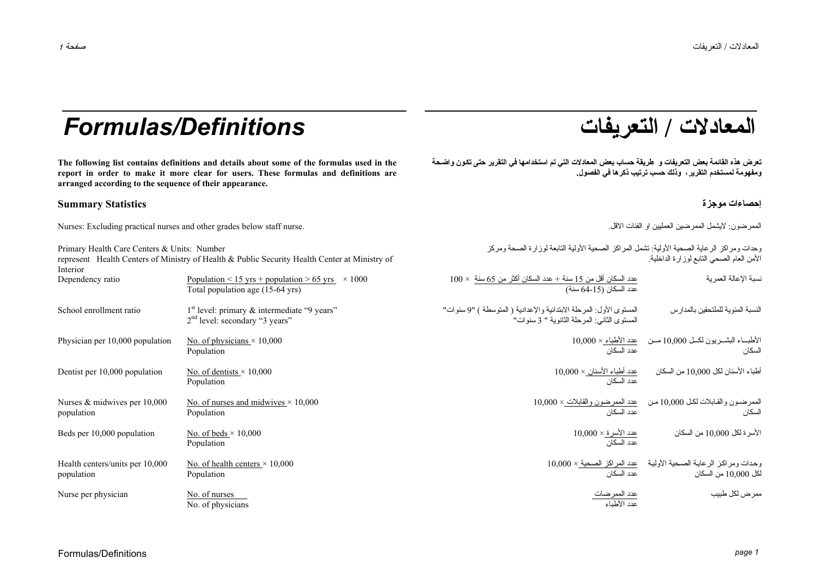## **/ التعريفات** *Definitions/Formulas*

**The following list contains definitions and details about some of the formulas used in the report in order to make it more clear for users. These formulas and definitions are arranged according to the sequence of their appearance.** 

### **إحصاءات موجزة Statistics Summary**

Nurses: Excluding practical nurses and other grades below staff nurse. .الاقل الفئات او العمليين الممرضين لايشمل :الممرضون

| Primary Health Care Centers & Units: Number<br>represent Health Centers of Ministry of Health & Public Security Health Center at Ministry of<br>Interior |                                                                                                | وحدات ومراكز الرعاية الصحية الأولية: تشمل المراكز الصحية الأولية التابعة لوزارة الصحة ومركز<br>الأمن العام الصحى النابع لوز ارة الداخلية. |                                                                                         |  |
|----------------------------------------------------------------------------------------------------------------------------------------------------------|------------------------------------------------------------------------------------------------|-------------------------------------------------------------------------------------------------------------------------------------------|-----------------------------------------------------------------------------------------|--|
| Dependency ratio                                                                                                                                         | Population < 15 yrs + population > 65 yrs $\times$ 1000<br>Total population age (15-64 yrs)    | $100 \times$ عدد السكان أقل من 15 سنة + عدد السكان أكثر من 65 سنة $100 \times$<br>عدد السكان (15-64 سنة)                                  | نسبة الإعالة العمر بة                                                                   |  |
| School enrollment ratio                                                                                                                                  | $1st$ level: primary $\&$ intermediate "9 years"<br>2 <sup>nd</sup> level: secondary "3 years" | المستوى الأول: المرحلة الابتدائية والإعدادية ( المتوسطة ) "9 سنوات"<br>المستوى الثاني: المرحلة الثانوية " 3 سنوات"                        | النسبة المئوية للملتحقين بالمدارس                                                       |  |
| Physician per 10,000 population                                                                                                                          | No. of physicians $\times$ 10,000<br>Population                                                | عدد السكان                                                                                                                                | الأطباء البشــريون لكــل 10,000 مــن حدد الأطباء × 10,000<br>السكان                     |  |
| Dentist per 10,000 population                                                                                                                            | No. of dentists $\times$ 10,000<br>Population                                                  | $10{,}000\times$ عدد أطباء الأسنان<br>عدد السكان                                                                                          | أطباء الأسنان لكل 10,000 من السكان                                                      |  |
| Nurses $&$ midwives per 10,000<br>population                                                                                                             | No. of nurses and midwives $\times$ 10,000<br>Population                                       | عدد السكان                                                                                                                                | الممرضون والقابلات لكل 10,000 من عدد الممرضون والقابلات × 10,000<br>السكان              |  |
| Beds per 10,000 population                                                                                                                               | No. of beds $\times$ 10,000<br>Population                                                      | <u> عدد الأسرة × 10,000</u><br>عدد السكان                                                                                                 | الأسرة لكل 10,000 من السكان                                                             |  |
| Health centers/units per 10,000<br>population                                                                                                            | No. of health centers $\times$ 10,000<br>Population                                            | عدد السكان                                                                                                                                | وحدات ومراكز الرعاية الصحية الأولية محد المراكز الصحية × 10,000<br>لكل 10,000 من السكان |  |
| Nurse per physician                                                                                                                                      | No. of nurses<br>No. of physicians                                                             | <u>عدد الممرضات</u><br>عدد الأطباء                                                                                                        | ممر ض لکل طبیب                                                                          |  |

# **المعادلات**

تعرض هذه القائمة بعض التعريفات و\_طريقة حساب بعض المعادلات التي تم استخدامها في التقرير حتى تكون واضحة **ومفهومة لمستخدم التقرير، وذلك حسب ترتيب ذآرها في الفصول.**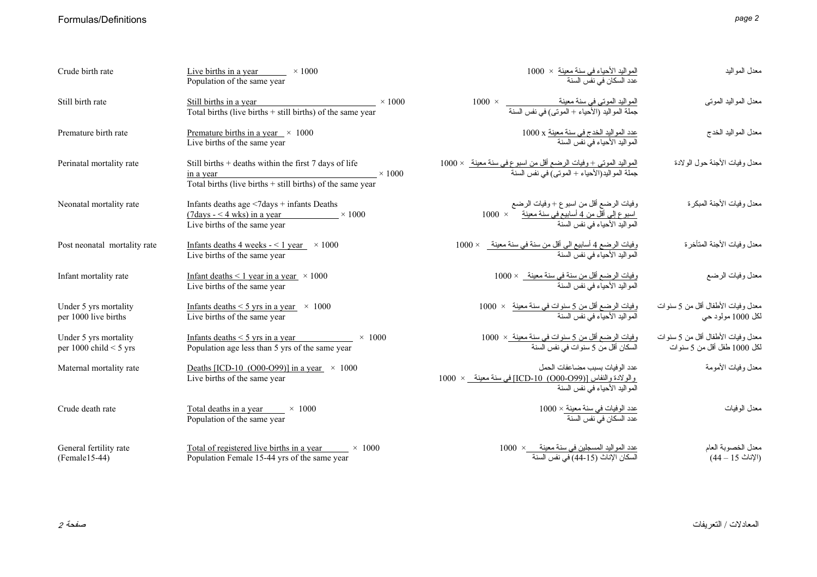### Formulas/Definitions

|--|--|

| Crude birth rate                                  | Live births in a year $\times 1000$<br>Population of the same year                                                                                        |               | ا <u>لمواليد الأحياء في سنة معينة</u> ×  1000<br>عدد السكان في نفس السنة                                                     | معدل المواليد                                                     |
|---------------------------------------------------|-----------------------------------------------------------------------------------------------------------------------------------------------------------|---------------|------------------------------------------------------------------------------------------------------------------------------|-------------------------------------------------------------------|
| Still birth rate                                  | Still births in a year<br>Total births (live births $+$ still births) of the same year                                                                    | $\times$ 1000 | المواليد الموتى فى سنة معينة<br>جملة المواليد (الأحياء + الموتى) فى نفس السنة                                                | معدل المواليد المونبي                                             |
| Premature birth rate                              | Premature births in a year $\times$ 1000<br>Live births of the same year                                                                                  |               | <u>عدد المواليد الخدج في سنة معينة</u> x 1000<br>المواليد الأحياء في نفس السنة                                               | معدل المواليد الخدج                                               |
| Perinatal mortality rate                          | Still births $+$ deaths within the first $7$ days of life<br>$\frac{\text{in a year}}{\text{Total births (live births + still births) of the same year}}$ | $\times$ 1000 | ا <u>لمواليد الموتى + وفيات الرضع أقل من اسبو ع في سنة معينة   × 1000</u><br>جملة المواليد(الأحياء + الموتى) في نفس السنة    | معدل وفيات الأجنة حول الولادة                                     |
| Neonatal mortality rate                           | Infants deaths age <7days + infants Deaths<br>$(7 \text{days} - 4 \text{wks})$ in a year $\times 1000$<br>Live births of the same year                    |               | وفيات الرضع أقل من اسبوع + وفيات الرضع                                                                                       | معدل وفيات الأجنة المبكرة                                         |
| Post neonatal mortality rate                      | Infants deaths 4 weeks $-$ < 1 year $\times$ 1000<br>Live births of the same year                                                                         |               | وفيات الرضيع 4 أسابيع الى أقل من سنة في سنة معينة_ × 1000<br>المواليد الأحياء في نفس السنة                                   | معدل وفيات الأجنة المتأخرة                                        |
| Infant mortality rate                             | Infant deaths $\leq 1$ year in a year $\times 1000$<br>Live births of the same year                                                                       |               | وفيات الرضع أقل من سنة في سنة معينة _ × 1000<br>المو البد الأحباء في نفس السنة                                               | معدل وفيات الرضع                                                  |
| Under 5 yrs mortality<br>per 1000 live births     | Infants deaths $\leq$ 5 yrs in a year $\times$ 1000<br>Live births of the same year                                                                       |               | وفيات الرضع أقل من 5 سنوات في سنة معينة     ×  1000<br>المو اليد الأحياء في نفس السنة                                        | معدل وفيات الأطفال أقل من 5 سنوات<br>لكل 1000 مولود حي            |
| Under 5 yrs mortality<br>per 1000 child $<$ 5 yrs | Infants deaths $\leq$ 5 yrs in a year<br>$\times$ 1000<br>Population age less than 5 yrs of the same year                                                 |               | وفيات الرضع أقل من 5 سنوات في سنة معينة_×  1000<br>السكان أقل من 5 سنو ات في نفس السنة                                       | معدل وفيات الأطفال أقل من 5 سنوات<br>لكل 1000 طفل أقل من 5 سنو ات |
| Maternal mortality rate                           | Deaths [ICD-10 (O00-O99)] in a year $\times$ 1000<br>Live births of the same year                                                                         |               | عدد الوفيات بسبب مضاعفات الحمل<br>والولادة والنفاس [(O00-099) 10-ICD] في سنة معينة _ × 1000<br>المواليد الأحياء في نفس السنة | معدل وفيات الأمومة                                                |
| Crude death rate                                  | Total deaths in a year $\times$ 1000<br>Population of the same year                                                                                       |               | <u>عدد الوفيات في سنة معينة × 1</u> 000<br>عدد السكان في نفس السنة                                                           | معدل الوفيات                                                      |
| General fertility rate<br>$(Female15-44)$         | Total of registered live births in a year $\times 1000$<br>Population Female 15-44 yrs of the same year                                                   |               | <u>عدد المواليد المسجلين في سنة معينة                1000</u><br>السكان الإناث (15-44) في نفس السنة                          | معدل الخصوبة العام<br>(الإناث 15 – 44)                            |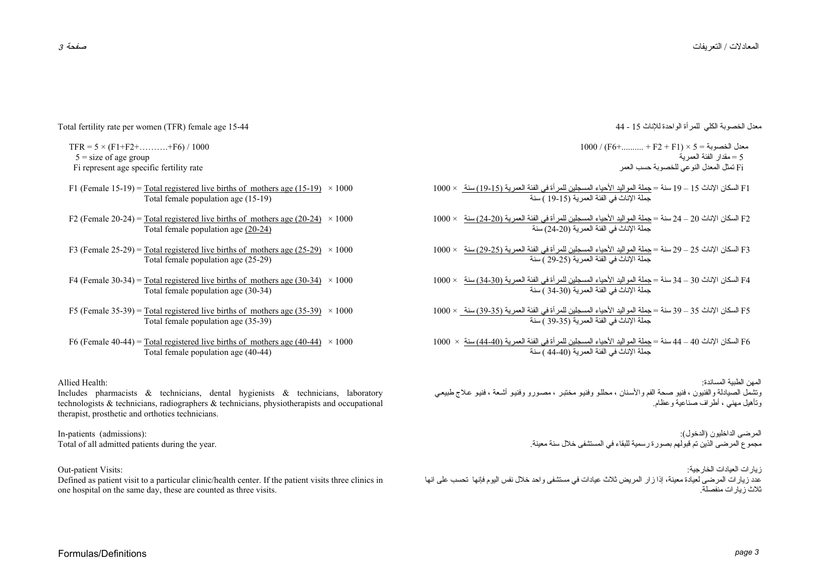Total fertility rate per women (TFR) female age 15-44

 $TFR = 5 \times (F1 + F2 + \dots + F6) / 1000$  $5 =$  size of age group Fi represent age specific fertility rate

- F1 (Female 15-19) = Total registered live births of mothers age (15-19)  $\times$  1000 Total female population age (15-19)
- F2 (Female 20-24) = Total registered live births of mothers age (20-24)  $\times$  1000 Total female population age (20-24)
- F3 (Female 25-29) = Total registered live births of mothers age (25-29)  $\times$  1000 Total female population age (25-29)
- F4 (Female 30-34) = Total registered live births of mothers age (30-34)  $\times$  1000 Total female population age (30-34)
- F5 (Female 35-39) = Total registered live births of mothers age (35-39)  $\times$  1000 Total female population age (35-39)
- F6 (Female 40-44) = Total registered live births of mothers age (40-44)  $\times$  1000 Total female population age (40-44)

Allied Health:

Includes pharmacists & technicians, dental hygienists & technicians, laboratory technologists & technicians, radiographers & technicians, physiotherapists and occupational therapist, prosthetic and orthotics technicians.

In-patients (admissions): Total of all admitted patients during the year.

Out-patient Visits:

Defined as patient visit to a particular clinic/health center. If the patient visits three clinics in one hospital on the same day, these are counted as three visits.

معدل الخصوبة الكلي للمرأة الواحدة للإناث <sup>15</sup> - <sup>44</sup>

 $1000 / (F6+... + F2 + F1) \times 5 = 1000$  معدل الخصوبة 5 = مقدار الفئة العمرية Fi تمثل المعدل النوعي للخصوبة حسب العمر

- 1F السكان الإناث <sup>15</sup> <sup>19</sup> سنة <sup>=</sup>جملة المواليد الأحياء المسجلين للمرأة في الفئة العمرية (19-15) سنة × 1000 جملة الإناث في الفئة العمرية (19-15 ) سنة
- 2F السكان الإناث <sup>20</sup> <sup>24</sup> سنة <sup>=</sup>جملة المواليد الأحياء المسجلين للمرأة في الفئة العمرية (24-20) سنة × 1000 جملة الإناث في الفئة العمرية (24-20) سنة
- 3F السكان الإناث <sup>25</sup> <sup>29</sup> سنة <sup>=</sup>جملة المواليد الأحياء المسجلين للمرأة في الفئة العمرية (29-25) سنة × 1000 جملة الإناث في الفئة العمرية (29-25 ) سنة
- 4F السكان الإناث <sup>30</sup> <sup>34</sup> سنة <sup>=</sup>جملة المواليد الأحياء المسجلين للمرأة في الفئة العمرية (34-30) سنة × 1000 جملة الإناث في الفئة العمرية (34-30 ) سنة
- 5F السكان الإناث <sup>35</sup> <sup>39</sup> سنة <sup>=</sup>جملة المواليد الأحياء المسجلين للمرأة في الفئة العمرية (39-35) سنة × 1000 جملة الإناث في الفئة العمرية (39-35 ) سنة
- 6F السكان الإناث <sup>40</sup> <sup>44</sup> سنة <sup>=</sup>جملة المواليد الأحياء المسجلين للمرأة في الفئة العمرية (44-40) سنة × 1000 جملة الإناث في الفئة العمرية (44-40 ) سنة
- المهن الطبية المساندة: وتشمل الصيادلة والفنيون ، فنيو صحة الفم والأسنان ، محللو وفنيو مختبر ، مصىورو وفنيو أشعة ، فنيو علاج طبيعي وتأهيل مهني ، أطراف صناعية وعظام.

المرضى الداخليون (الدخول): مجموع المرضى الذين تم قبولهم بصورة رسمية للبقاء في المستشفى خلال سنة معينة.

زيارات العيادات الخارجية: عدد زيارات المرضى لعيادة معينة، إذا زار المريض ثلاث عيادات في مستشفى واحد خلال نفس اليوم فإنها تحسب على انها .ثلاث زيارات منفصلة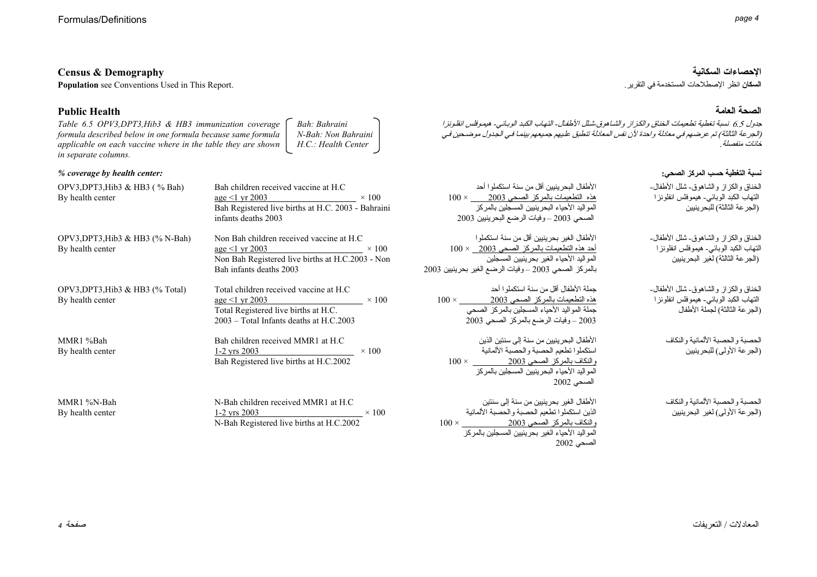**الإحصاءات السكانية Demography & Census Population see Conventions Used in This Report.** 

### **Public Health**

*Table 6.5 OPV3,DPT3,Hib3 & HB3 immunization coverage formula described below in one formula because same formula applicable on each vaccine where in the table they are shown in separate columns. Bah: Bahraini N-Bah: Non Bahraini H.C.: Health Center* 

#### *% coverage by health center:*

| OPV3, DPT3, Hib3 & HB3 $( %$ Bah)<br>By health center   | Bah children received vaccine at H.C.<br>$age \leq 1$ yr 2003<br>$\times$ 100<br>Bah Registered live births at H.C. 2003 - Bahraini<br>infants deaths 2003               | و ا أحد<br>$100 \times 2$<br>المر كز<br>رينيين 2003           |
|---------------------------------------------------------|--------------------------------------------------------------------------------------------------------------------------------------------------------------------------|---------------------------------------------------------------|
| OPV3, DPT3, Hib3 & HB3 $(\%$ N-Bah)<br>By health center | Non Bah children received vaccine at H.C.<br>$age \le 1 \text{ yr } 2003$<br>$\times$ 100<br>Non Bah Registered live births at H.C.2003 - Non<br>Bah infants deaths 2003 | نكملو ا<br>$100 \times 200$<br>ين ِ<br>سع الغير بحرينيين 2003 |
| OPV3, DPT3, Hib3 & HB3 $(\%$ Total)<br>By health center | Total children received vaccine at H.C.<br>$\times$ 100<br>$age \leq 1$ yr 2003<br>Total Registered live births at H.C.<br>2003 – Total Infants deaths at H.C.2003       | $100 \times \frac{2}{\sqrt{2}}$<br>ز الصحي<br>ي 2003          |
| MMR1 %Bah<br>By health center                           | Bah children received MMR1 at H.C.<br>$1-2$ yrs 2003<br>$\times$ 100<br>Bah Registered live births at H.C.2002                                                           | الذين<br>ىانية<br>$100 \times$<br>المر كز                     |
| MMR1 %N-Bah<br>By health center                         | N-Bah children received MMR1 at H.C.<br>$1-2$ yrs 2003 $\times 100$<br>N-Bah Registered live births at H.C.2002                                                          | نتين<br>بة الألمانية<br>$100 \times$                          |

#### **الصحة العامة**

جدول 6.5 نسبة تغطية تطعيمات الخناق والكزاز والشاهوق شلل الأطفال- التهاب الكبد الوبائي- هيموفلس انفلونزا (الجرعة الثالثة) تم عرضهم في معادلة واحدة لأن نفس المعادلة تنطبق عليهم جميعهم بينما في الجدول موضحين في .خانات منفصلة

#### **نسبة التغطية حسب المرآز الصحي:**

| الأطفال البحر ينيين أقل من سنة استكملو ا أحد<br>$100\times$ هذه النطعيمات بالمركز الصحى 2003 $\times$ 100<br>المواليد الأحياء البحر ينيين المسجلين بالمركز<br>الصحي 2003 – وفيات الرضع البحرينيين 2003 | الخناق والكزاز والشاهوق-شلل الأطفال-<br>التهاب الكبد الوبائي۔ هيموفلس انفلونز ا<br>(الجر عة الثالثة) للبحر ينيين     |
|--------------------------------------------------------------------------------------------------------------------------------------------------------------------------------------------------------|----------------------------------------------------------------------------------------------------------------------|
| الأطفال الغير بحرينيين أقل من سنة استكملوا<br>أحد هذه التطعيمات بالمركز الصحي 2003    × 100<br>المواليد الأحياء الغير بحرينيين المسجلين<br>بالمركز الصحي 2003 – وفيات الرضع الغير بحرينيين 3           | الخناق والكزاز والشاهوق-شلل الأطفال-<br>النهاب الكبد الوبائى- هيموفلس انفلونز ا<br>(الجر عة الثالثة) لغير البحرينيين |
| جملة الأطفال أقل من سنة استكملوا أحد<br>هذه التطعيمات بالمركز الصحى 2003<br>$100 \times$<br>جملة المواليد الأحياء المسجلين بالمركز الصحي                                                               | الخناق والكزاز والشاهوق-شلل الأطفال-<br>التهاب الكبد الوبائي۔ هيموفلس انفلونز ا<br>(الجرعة الثالثة) لجملة الأطفال    |

الحصبة والحصبة الألمانية والنكاف (الجرعة الأولى) للبحرينيين

الحصبة والحصبة الألمانية والنكاف(الجرعة الأولى) لغير البحرينيين

الأطفال البحرينيين من سنة إلى سنتين الذين استكملوا تطعيم الحصبة والحصبة الألمانية والنكاف بالمرآز الصحي 2003 × 100 المواليد الأحياء البحرينيين المسجلين بالمركز الصحي <sup>2002</sup>

2003 – وفيات الرضع بالمركز الصحي 2003

الأطفال الغير بحرينيين من سنة إلى سنتين الذين استكملوا تطعيم الحصبة والحصبة الألمانية والنكاف بالمرآز الصحي 2003 × 100 المواليد الأحياء الغير بحرينيين المسجلين بالمركز الصحي <sup>2002</sup>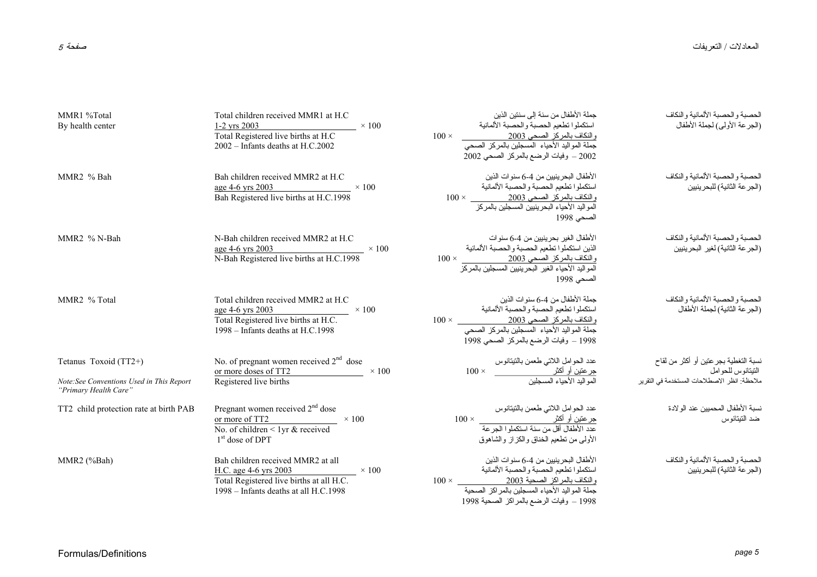| MMR1 %Total<br>By health center                                                            | Total children received MMR1 at H.C.<br>$1-2$ yrs 2003<br>$\times$ 100<br>Total Registered live births at H.C<br>2002 - Infants deaths at H.C.2002                | جملة الأطفال من سنة إلى سننين الذين<br>استكملوا تطعيم الحصبة والحصبة الألمانية<br>والنكاف بالمركز الصحي 2003<br>جملة المواليد الأحياء المسجلين بالمركز الصحي<br>$100 \times$<br>2002 - وفيات الرضع بالمركز الصحي 2002 | الحصبة والحصبة الألمانية والنكاف<br>(الجرعة الأولى) لجملة الأطفال                                          |
|--------------------------------------------------------------------------------------------|-------------------------------------------------------------------------------------------------------------------------------------------------------------------|-----------------------------------------------------------------------------------------------------------------------------------------------------------------------------------------------------------------------|------------------------------------------------------------------------------------------------------------|
| MMR <sub>2</sub> % Bah                                                                     | Bah children received MMR2 at H.C.<br>age 4-6 yrs 2003<br>$\times$ 100<br>Bah Registered live births at H.C.1998                                                  | الأطفال البحر ينبين من 4-6 سنو ات الذين<br>استكملوا تطعيم الحصبة والحصبة الألمانية<br>والنكاف بالمركز الصحي 2003<br>المواليد الأحياء البحرينيين المسجلين بالمركز<br>الصحي 1998                                        | الحصبة والحصبة الألمانية والنكاف<br>(الجر عة الثانية) للبحرينيين                                           |
| MMR <sub>2</sub> % N-Bah                                                                   | N-Bah children received MMR2 at H.C.<br>age 4-6 yrs 2003<br>N-Bah Registered live births at H.C.1998 $\times$ 100                                                 | الأطفال الغير بحرينيين من 4-6 سنو ات<br>الذين استكملوا تطعيم الحصبة والحصبة الألمانية<br>والنكاف بالمركز الصحي 2003<br>المواليد الأحياء الغير البحرينيين المسجلين بالمركز<br>الصحى 1998                               | الحصبة والحصبة الألمانية والنكاف<br>(الجرعة الثانية) لغير البحرينيين                                       |
| MMR <sub>2</sub> % Total                                                                   | Total children received MMR2 at H.C<br>$\frac{\text{age 4-6 yrs 2003}}{\text{Total Registered live births at H.C.}}$ × 100<br>$1998 -$ Infants deaths at H.C.1998 | جملة الأطفال من 4-6 سنوات الذين<br>استكملوا نطعيم الحصبة والحصبة الألمانية<br>والنكاف بالمركز الصحي 2003<br>جملة المواليد الأحياء المسجلين بالمركز الصحي<br>1998 – وفيات الرضع بالمركز الصحي 1998                     | الحصبة والحصبة الألمانية والنكاف<br>(الجرعة الثانية) لجملة الأطفال                                         |
| Tetanus Toxoid (TT2+)<br>Note:See Conventions Used in This Report<br>"Primary Health Care" | No. of pregnant women received $2nd$ dose<br>or more doses of TT2 $\times 100$<br>Registered live births                                                          |                                                                                                                                                                                                                       | نسبة التغطية بجر عتين أو أكثر من لقاح<br>التيتانوس للحوامل<br>ملاحظة: انظر الاصطلاحات المستخدمة في التقرير |
| TT2 child protection rate at birth PAB                                                     | Pregnant women received 2 <sup>nd</sup> dose<br>or more of TT2 $\times 100$<br>No. of children $\leq 1$ yr & received<br>$1st$ dose of DPT                        | عدد الحوامل اللاتبي طعمن بالتيتانوس<br><u>جرعتين أو أكثر<br/>عدد الأطفال أفل من سنة استكملوا الجرعة</u><br>الأولىي من نطعيم الخناق والكزاز والشاهوق                                                                   | نسبة الأطفال المحميين عند الو لادة<br>ضد النينانوس                                                         |
| MMR2 (%Bah)                                                                                | Bah children received MMR2 at all<br>H.C. age 4-6 yrs 2003<br>$\sim$ 100<br>Total Registered live births at all H.C.<br>1998 - Infants deaths at all H.C.1998     | الأطفال البحر ينبين من 4-6 سنو ات الذين<br>استكملوا تطعيم الحصبة والحصبة الألمانية<br>والنكاف بالمراكز الصحية 2003<br>جملة المواليد الأحياء المسجلين بالمراكز الصحية<br>1998 – وفيات الرضع بالمراكز الصحية 1998       | الحصبة والحصبة الألمانية والنكاف<br>(الجر عة الثانية) للبحرينيين                                           |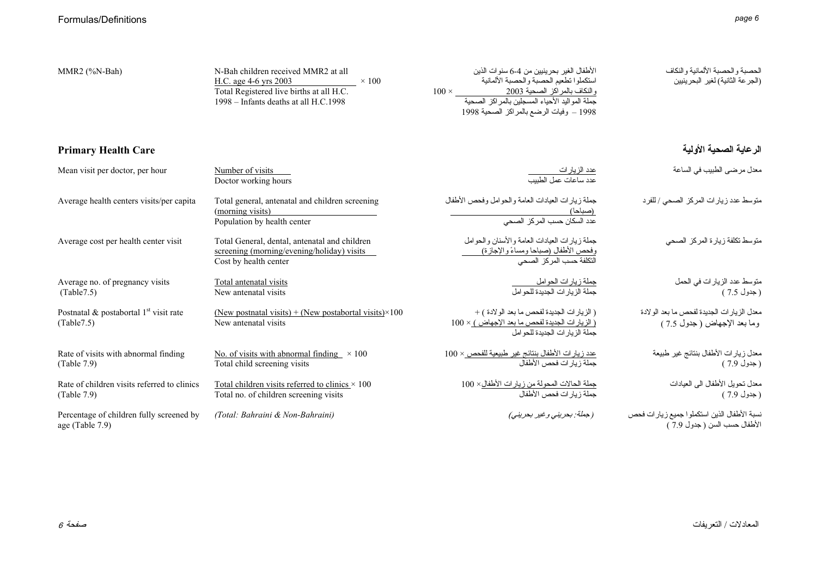| MMR2 (%N-Bah)                                               | N-Bah children received MMR2 at all<br>H.C. age 4-6 yrs 2003<br>$\times$ 100<br>Total Registered live births at all H.C.<br>1998 - Infants deaths at all H.C.1998 | الأطفال الغير بحرينيين من 4-6 سنوات الذين<br>استكملوا تطعيم الحصبة والحصبة الألمانية<br>والنكاف بالمراكز الصحية 2003<br>جملة المواليد الأحياء المسجلين بالمراكز الصحية<br>1998 – وفيات الرضع بالمراكز الصحية 1998 | الحصبة والحصبة الألمانية والنكاف<br>(الجرعة الثانية) لغير البحرينيين         |
|-------------------------------------------------------------|-------------------------------------------------------------------------------------------------------------------------------------------------------------------|-------------------------------------------------------------------------------------------------------------------------------------------------------------------------------------------------------------------|------------------------------------------------------------------------------|
| <b>Primary Health Care</b>                                  |                                                                                                                                                                   |                                                                                                                                                                                                                   | الرعاية الصحية الأولية                                                       |
| Mean visit per doctor, per hour                             | Number of visits<br>Doctor working hours                                                                                                                          | <u>عدد الزيارات<br/>عدد ساعات عمل الطبيب</u>                                                                                                                                                                      | معدل مرضى الطبيب في الساعة                                                   |
| Average health centers visits/per capita                    | Total general, antenatal and children screening<br>(morning visits)<br>Population by health center                                                                | جملة زيارات العيادات العامة والحوامل وفحص الأطفال                                                                                                                                                                 | منوسط عدد زيارات المركز الصحى / للفرد                                        |
| Average cost per health center visit                        | Total General, dental, antenatal and children<br>screening (morning/evening/holiday) visits<br>Cost by health center                                              | جملة زيار ات العيادات العامة و الأسنان و الحو امل<br>وفحص الأطفال (صباحا ومساءً والإجازة)<br>التكلفة حسب المركز الصحي                                                                                             | متوسط تكلفة زيارة المركز الصحى                                               |
| Average no. of pregnancy visits<br>(Table 7.5)              | Total antenatal visits<br>New antenatal visits                                                                                                                    | جملة زيارات الحوامل<br>جملة الزيارات الجديدة للحوامل                                                                                                                                                              | متوسط عدد الزيار ات في الحمل<br>( جدول 7.5 )                                 |
| Postnatal & postabortal $1st$ visit rate<br>(Table 7.5)     | (New postnatal visits) + (New postabortal visits) $\times$ 100<br>New antenatal visits                                                                            | ( الزيار ات الجديدة لفحص ما بعد الو لادة ) +<br>(الزيارات الجديدة لفحص ما بعد الإجهاض) × 100<br>جملة الزيارات الجديدة للحو امل                                                                                    | معدل الزيارات الجديدة لفحص ما بعد الولادة<br>وما بعد الإجهاض ( جدول 7.5 )    |
| Rate of visits with abnormal finding<br>(Table 7.9)         | No. of visits with abnormal finding $\times$ 100<br>Total child screening visits                                                                                  | <u>عدد زيار ات الأطفال بنتائج غير طبيعية للفحص × 100</u><br>جملة ز يار ات فحص الأطفال                                                                                                                             | معدل زيار ات الأطفال بنتائج غير طبيعة<br>( جدول 7.9 )                        |
| Rate of children visits referred to clinics<br>(Table 7.9)  | Total children visits referred to clinics $\times$ 100<br>Total no. of children screening visits                                                                  | جملة الحالات المحولة من زيار ات الأطفال× 100<br>جملة زيار ات فحص الأطفال                                                                                                                                          | معدل نحويل الأطفال الى العيادات<br>( جدول 7.9 )                              |
| Percentage of children fully screened by<br>age (Table 7.9) | (Total: Bahraini & Non-Bahraini)                                                                                                                                  | (جملة: بحريني وغير بحريني)                                                                                                                                                                                        | نسبة الأطفال الذين استكملوا جميع زيارات فحص<br>الأطفال حسب السن ( جدول 7.9 ) |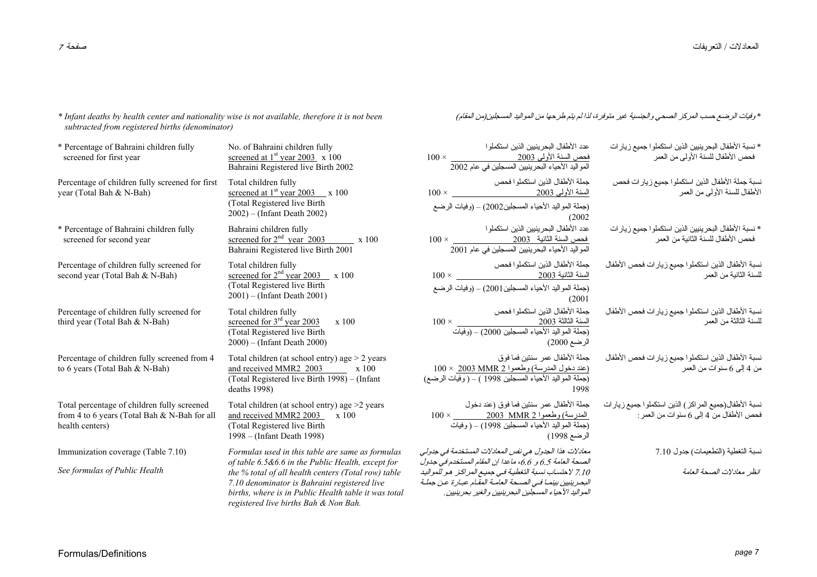*\* Infant deaths by health center and nationality wise is not available, therefore it is not been subtracted from registered births (denominator)* 

| * Percentage of Bahraini children fully<br>screened for first year                                             | No. of Bahraini children fully<br>screened at $1st$ year 2003 x 100<br>Bahraini Registered live Birth 2002                                                                                                                                                                                                    | عدد الأطفال البحر ينبين الذين استكملو ا<br>فحص السنة الأولى 2 <u>003</u><br>المواليد الأحياء البحرينيين المسجلين في عام 2002                                                                                                                                                                           |
|----------------------------------------------------------------------------------------------------------------|---------------------------------------------------------------------------------------------------------------------------------------------------------------------------------------------------------------------------------------------------------------------------------------------------------------|--------------------------------------------------------------------------------------------------------------------------------------------------------------------------------------------------------------------------------------------------------------------------------------------------------|
| Percentage of children fully screened for first<br>year (Total Bah & N-Bah)                                    | Total children fully<br>screened at $1st$ year 2003 $\_\ x 100$<br>(Total Registered live Birth<br>$2002$ ) – (Infant Death 2002)                                                                                                                                                                             | جملة الأطفال الذين استكملوا فحص<br>(جملة المواليد الأحياء المسجلين2002) – (وفيات الرضع<br>(2002)                                                                                                                                                                                                       |
| * Percentage of Bahraini children fully<br>screened for second year                                            | Bahraini children fully<br><u>screened</u> for $2nd$ year 2003 x 100<br>Bahraini Registered live Birth 2001                                                                                                                                                                                                   | عدد الأطفال البحر ينيين الذين استكملو ا<br>$100 \times \cfrac{2003}{2001 \text{ day} \cdot \text{day}} \xrightarrow{2000} 2001$ المواليد الأحياء البحرينيين المسجلين في عام 2001                                                                                                                       |
| Percentage of children fully screened for<br>second year (Total Bah & N-Bah)                                   | Total children fully<br>screened for $2nd$ year 2003 x 100<br>(Total Registered live Birth<br>$2001$ – (Infant Death 2001)                                                                                                                                                                                    | جملة الأطفال الذين استكملوا فحص<br>$100 \times 2003$ السنة الثانية 2003<br>(جملة المواليد الأحياء المسجلين2001) – (وفيات الرضع<br>(2001)                                                                                                                                                               |
| Percentage of children fully screened for<br>third year (Total Bah & N-Bah)                                    | Total children fully<br>screened for $3rd$ year 2003<br>x 100<br>(Total Registered live Birth<br>$(2000) - (Infant Death 2000)$                                                                                                                                                                               | جملة الأطفال الذين استكملوا فحص<br>$100 \times 2003$ السنة الثالثة 2003<br>(جملة المواليد الأحياء المسجلين 2000) – (وفيات<br>الرضع 2000)                                                                                                                                                               |
| Percentage of children fully screened from 4<br>to 6 years (Total Bah & N-Bah)                                 | Total children (at school entry) age $> 2$ years<br>and received MMR2 2003 x 100<br>(Total Registered live Birth 1998) – (Infant<br>deaths $1998$ )                                                                                                                                                           | جملة الأطفال عمر سنتين فما فوق<br><u> (عند دخول المدرسة) وطعموا 2 MMR 2003</u> × 100<br>(جملة المواليد الأحياء المسجلين 1998 ) – ( وفيات الرضع)<br>1998                                                                                                                                                |
| Total percentage of children fully screened<br>from 4 to 6 years (Total Bah & N-Bah for all<br>health centers) | Total children (at school entry) age $>2$ years<br>and received MMR2 2003<br>x 100<br>(Total Registered live Birth<br>1998 – (Infant Death 1998)                                                                                                                                                              | جملة الأطفال عمر سننين فما فوق (عند دخول<br>100 × 100 × 2003 MMR 2 2003 ×<br>(جملة المواليد الأحياء المسجلين 1998) – ( وفيات<br>الرضع 1998)                                                                                                                                                            |
| Immunization coverage (Table 7.10)<br>See formulas of Public Health                                            | Formulas used in this table are same as formulas<br>of table 6.5&6.6 in the Public Health, except for<br>the % total of all health centers (Total row) table<br>7.10 denominator is Bahraini registered live<br>births, where is in Public Health table it was total<br>registered live births Bah & Non Bah. | معادلات هذا الجدول هي نفس المعادلات المستخدمة في جدولي<br>لصحة العامة 6.5 و 6.6، ماعدا ان المقام المستخدم في جدول<br>7.10 لاحتساب نسبة التغطية في جميع المراكز  هو للمواليد<br>لبحر ينبين بينمـا فـي الصــحة العامـة المقـام عبـار ة عـن جملـة<br>لمواليد الأحياء المسجلين البحرينيين والغير بحرينيين. |

\* وفيات الرضع حسب المرآز الصحي والجنسية غير متوفرة، لذا لم يتم طرحها من المواليد المسجلين(من المقام)

| * نسبة الأطفال البحرينيين الذين استكملوا جميع زيارات<br>فحص الأطفال للسنة الأولىي من العمر         | عدد الأطفال البحرينيين الذين استكملوا<br><u>فحص السنة الأولى 2003</u><br>المو اليد الأحياء البحر ينيين المسجلين في عام 2002                                                                                                                                                   |
|----------------------------------------------------------------------------------------------------|-------------------------------------------------------------------------------------------------------------------------------------------------------------------------------------------------------------------------------------------------------------------------------|
| نسبة جملة الأطفال الذين استكملوا جميع زيارات فحص<br>الأطفال للسنة الأولىي من العمر                 | جملة الأطفال الذين استكملوا فحص<br><u>السنة الأولى 2003</u>                                                                                                                                                                                                                   |
| * نسبة الأطفال البحرينيين الذين استكملو ا جميع زيار ات<br>فحص الأطفال للسنة الثانية من العمر       | (جملة المواليد الأحياء المسجلين2002) – (وفيات اا<br>(2002<br>عدد الأطفال البحرينيين الذين استكملوا<br><u>فحص السنة الثانية     2003</u><br>المواليد الأحياء البحرينيين المسجلين في عام 2001                                                                                   |
| نسبة الأطفال الذين استكملوا جميع زيار ات فحص الأطفال<br>للسنة الثانية من العمر                     | جملة الأطفال الذين استكملوا فحص                                                                                                                                                                                                                                               |
| نسبة الأطفال الذين استكملوا جميع زيار ات فحص الأطفال<br>للسنة الثالثة من العمر                     | (جملة المواليد الأحياء المسجلين2001) – (وفيات اا<br>(2001)<br>جملة الأطفال الذين استكملوا فحص<br>السنة الثالثة 2003<br>(جملة المواليد الأحياء المسجلين 2000) – (وفيات<br>الرضع 2000)                                                                                          |
| نسبة الأطفال الذين استكملوا جميع زيار ات فحص الأطفال<br>من 4 إلىي 6 سنوات من العمر                 | جملة الأطفال عمر سنتين فما فوق<br><u>(عند دخول المدرسة) وطعموا 2003 MMR 2</u> ×<br>1998                                                                                                                                                                                       |
| نسبة الأطفال(جميع المراكز ) الذين استكملوا جميع زيارات<br>فحص الأطفالُ من 4 إلى 6 سنوات من العمر : | جملة الأطفال عمر سنتين فما فوق (عند دخول<br>(جملة المواليد الأحياء المسجلين 1998) – ( وفيات<br>الرضع 1998)                                                                                                                                                                    |
| نسبة التغطية (النطعيمات) جدول 7.10<br>انظر معادلات الصحة العامة                                    | معادلات هذا الجدول هي نفس المعادلات المستخدمة<br>الصحة العامة 6.5 و 6.6، ماعدا ان المقام المستخد.<br>7.10 لا حتساب نسبة التغطية فـي جميـع المر اكـز. ه<br>البحر ينبين بينمـا فـي الصــحة العامـة المقـام عبـار ة<br>المو اليد الأحياء المسجلين البحر بنبين و الغير  بحر بنبيا |